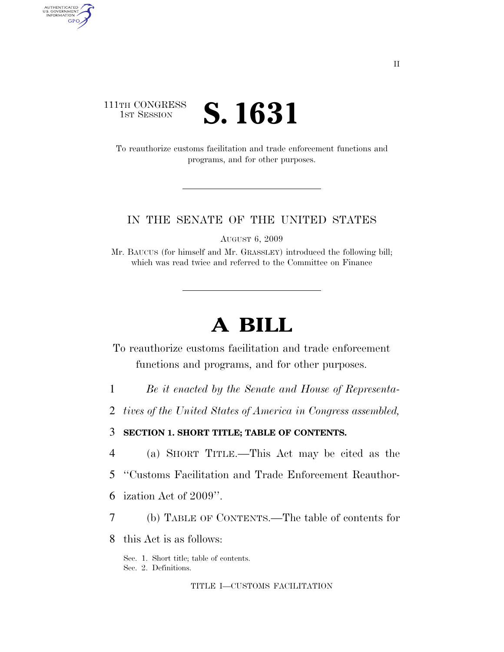## 111TH CONGRESS **IST SESSION S. 1631**

AUTHENTICATED<br>U.S. GOVERNMENT<br>INFORMATION GPO

> To reauthorize customs facilitation and trade enforcement functions and programs, and for other purposes.

## IN THE SENATE OF THE UNITED STATES

AUGUST 6, 2009

Mr. BAUCUS (for himself and Mr. GRASSLEY) introduced the following bill; which was read twice and referred to the Committee on Finance

# **A BILL**

To reauthorize customs facilitation and trade enforcement functions and programs, and for other purposes.

1 *Be it enacted by the Senate and House of Representa-*

2 *tives of the United States of America in Congress assembled,* 

3 **SECTION 1. SHORT TITLE; TABLE OF CONTENTS.** 

4 (a) SHORT TITLE.—This Act may be cited as the

- 5 ''Customs Facilitation and Trade Enforcement Reauthor-
- 6 ization Act of 2009''.
- 7 (b) TABLE OF CONTENTS.—The table of contents for
- 8 this Act is as follows:

Sec. 1. Short title; table of contents. Sec. 2. Definitions.

TITLE I—CUSTOMS FACILITATION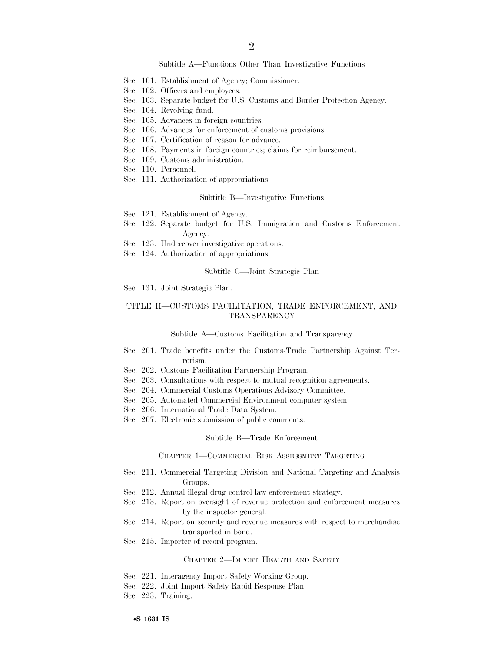#### Subtitle A—Functions Other Than Investigative Functions

- Sec. 101. Establishment of Agency; Commissioner.
- Sec. 102. Officers and employees.
- Sec. 103. Separate budget for U.S. Customs and Border Protection Agency.
- Sec. 104. Revolving fund.
- Sec. 105. Advances in foreign countries.
- Sec. 106. Advances for enforcement of customs provisions.
- Sec. 107. Certification of reason for advance.
- Sec. 108. Payments in foreign countries; claims for reimbursement.
- Sec. 109. Customs administration.
- Sec. 110. Personnel.
- Sec. 111. Authorization of appropriations.

#### Subtitle B—Investigative Functions

- Sec. 121. Establishment of Agency.
- Sec. 122. Separate budget for U.S. Immigration and Customs Enforcement Agency.
- Sec. 123. Undercover investigative operations.
- Sec. 124. Authorization of appropriations.

#### Subtitle C—Joint Strategic Plan

Sec. 131. Joint Strategic Plan.

#### TITLE II—CUSTOMS FACILITATION, TRADE ENFORCEMENT, AND TRANSPARENCY

#### Subtitle A—Customs Facilitation and Transparency

- Sec. 201. Trade benefits under the Customs-Trade Partnership Against Terrorism.
- Sec. 202. Customs Facilitation Partnership Program.
- Sec. 203. Consultations with respect to mutual recognition agreements.
- Sec. 204. Commercial Customs Operations Advisory Committee.
- Sec. 205. Automated Commercial Environment computer system.
- Sec. 206. International Trade Data System.
- Sec. 207. Electronic submission of public comments.

#### Subtitle B—Trade Enforcement

#### CHAPTER 1—COMMERCIAL RISK ASSESSMENT TARGETING

- Sec. 211. Commercial Targeting Division and National Targeting and Analysis Groups.
- Sec. 212. Annual illegal drug control law enforcement strategy.
- Sec. 213. Report on oversight of revenue protection and enforcement measures by the inspector general.
- Sec. 214. Report on security and revenue measures with respect to merchandise transported in bond.
- Sec. 215. Importer of record program.

#### CHAPTER 2—IMPORT HEALTH AND SAFETY

- Sec. 221. Interagency Import Safety Working Group.
- Sec. 222. Joint Import Safety Rapid Response Plan.
- Sec. 223. Training.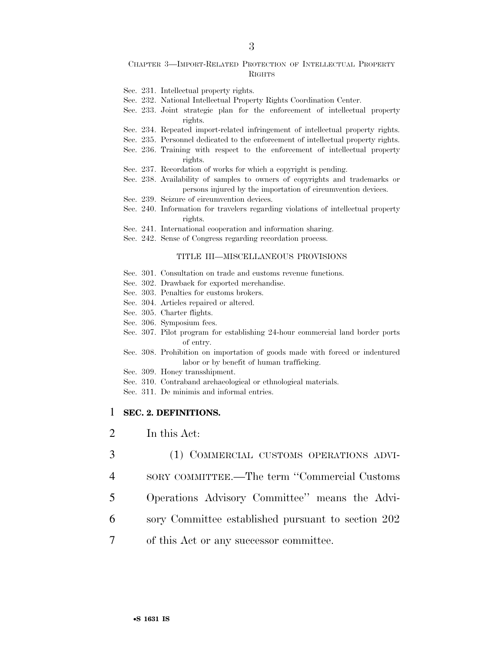#### CHAPTER 3—IMPORT-RELATED PROTECTION OF INTELLECTUAL PROPERTY RIGHTS

- Sec. 231. Intellectual property rights.
- Sec. 232. National Intellectual Property Rights Coordination Center.
- Sec. 233. Joint strategic plan for the enforcement of intellectual property rights.
- Sec. 234. Repeated import-related infringement of intellectual property rights.
- Sec. 235. Personnel dedicated to the enforcement of intellectual property rights. Sec. 236. Training with respect to the enforcement of intellectual property rights.
- Sec. 237. Recordation of works for which a copyright is pending.
- Sec. 238. Availability of samples to owners of copyrights and trademarks or persons injured by the importation of circumvention devices.
- Sec. 239. Seizure of circumvention devices.
- Sec. 240. Information for travelers regarding violations of intellectual property rights.
- Sec. 241. International cooperation and information sharing.
- Sec. 242. Sense of Congress regarding recordation process.

#### TITLE III—MISCELLANEOUS PROVISIONS

- Sec. 301. Consultation on trade and customs revenue functions.
- Sec. 302. Drawback for exported merchandise.
- Sec. 303. Penalties for customs brokers.
- Sec. 304. Articles repaired or altered.
- Sec. 305. Charter flights.
- Sec. 306. Symposium fees.
- Sec. 307. Pilot program for establishing 24-hour commercial land border ports of entry.
- Sec. 308. Prohibition on importation of goods made with forced or indentured labor or by benefit of human trafficking.
- Sec. 309. Honey transshipment.
- Sec. 310. Contraband archaeological or ethnological materials.
- Sec. 311. De minimis and informal entries.

### 1 **SEC. 2. DEFINITIONS.**

- 2 In this Act:
- 3 (1) COMMERCIAL CUSTOMS OPERATIONS ADVI-4 SORY COMMITTEE.—The term ''Commercial Customs 5 Operations Advisory Committee'' means the Advi-6 sory Committee established pursuant to section 202 7 of this Act or any successor committee.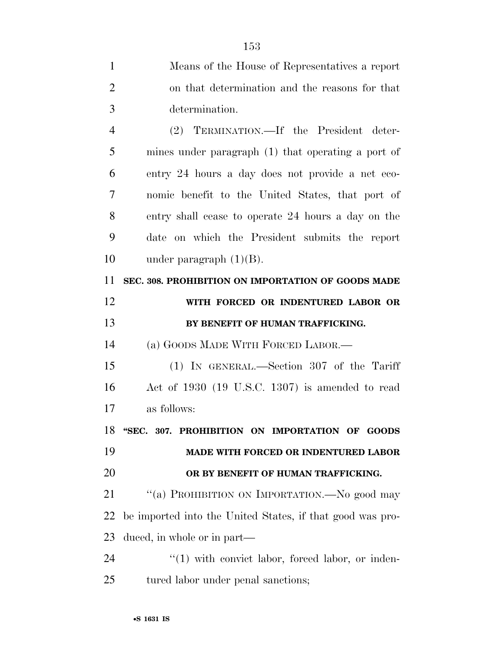|                | 153                                                       |
|----------------|-----------------------------------------------------------|
| $\mathbf{1}$   | Means of the House of Representatives a report            |
| $\overline{2}$ | on that determination and the reasons for that            |
| 3              | determination.                                            |
| $\overline{4}$ | (2) TERMINATION.—If the President deter-                  |
| 5              | mines under paragraph (1) that operating a port of        |
| 6              | entry 24 hours a day does not provide a net eco-          |
| 7              | nomic benefit to the United States, that port of          |
| 8              | entry shall cease to operate 24 hours a day on the        |
| 9              | date on which the President submits the report            |
| 10             | under paragraph $(1)(B)$ .                                |
| 11             | SEC. 308. PROHIBITION ON IMPORTATION OF GOODS MADE        |
| 12             | WITH FORCED OR INDENTURED LABOR OR                        |
|                |                                                           |
| 13             | BY BENEFIT OF HUMAN TRAFFICKING.                          |
| 14             | (a) GOODS MADE WITH FORCED LABOR.—                        |
| 15             | (1) IN GENERAL.—Section 307 of the Tariff                 |
| 16             | Act of 1930 (19 U.S.C. 1307) is amended to read           |
| 17             | as follows:                                               |
| 18             | "SEC. 307. PROHIBITION ON IMPORTATION OF GOODS            |
| 19             | MADE WITH FORCED OR INDENTURED LABOR                      |
| 20             | OR BY BENEFIT OF HUMAN TRAFFICKING.                       |
| 21             | "(a) PROHIBITION ON IMPORTATION.—No good may              |
| 22             | be imported into the United States, if that good was pro- |
| 23             | duced, in whole or in part—                               |
| 24             | $\lq(1)$ with convict labor, forced labor, or inden-      |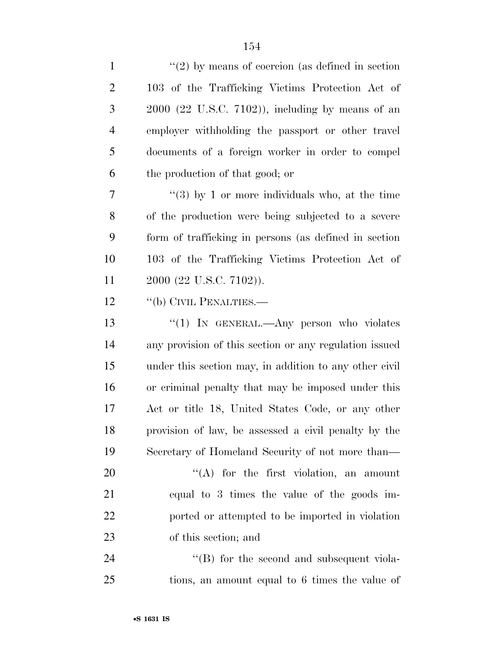| $\mathbf{1}$   | $\lq(2)$ by means of coercion (as defined in section)  |
|----------------|--------------------------------------------------------|
| $\overline{2}$ | 103 of the Trafficking Victims Protection Act of       |
| 3              | $2000$ (22 U.S.C. 7102)), including by means of an     |
| $\overline{4}$ | employer withholding the passport or other travel      |
| 5              | documents of a foreign worker in order to compel       |
| 6              | the production of that good; or                        |
| 7              | "(3) by 1 or more individuals who, at the time         |
| 8              | of the production were being subjected to a severe     |
| 9              | form of trafficking in persons (as defined in section  |
| 10             | 103 of the Trafficking Victims Protection Act of       |
| 11             | 2000 (22 U.S.C. 7102)).                                |
| 12             | "(b) CIVIL PENALTIES.—                                 |
| 13             | " $(1)$ In GENERAL.—Any person who violates            |
| 14             | any provision of this section or any regulation issued |
| 15             | under this section may, in addition to any other civil |
| 16             | or criminal penalty that may be imposed under this     |
| 17             | Act or title 18, United States Code, or any other      |
| 18             | provision of law, be assessed a civil penalty by the   |
| 19             | Secretary of Homeland Security of not more than—       |
| 20             | "(A) for the first violation, an amount                |
| 21             | equal to 3 times the value of the goods im-            |
| 22             | ported or attempted to be imported in violation        |
| 23             | of this section; and                                   |
| 24             | $\lq\lq$ for the second and subsequent viola-          |
| 25             | tions, an amount equal to 6 times the value of         |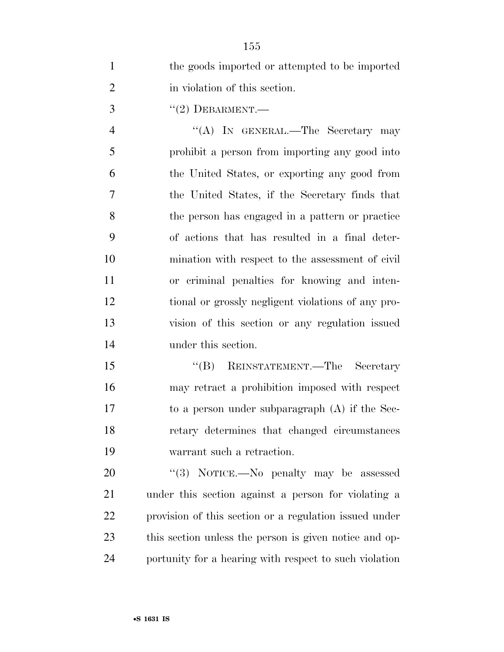| $\mathbf{1}$   | the goods imported or attempted to be imported         |
|----------------|--------------------------------------------------------|
| $\overline{2}$ | in violation of this section.                          |
| 3              | $``(2)$ DEBARMENT.—                                    |
| $\overline{4}$ | "(A) IN GENERAL.—The Secretary may                     |
| 5              | prohibit a person from importing any good into         |
| 6              | the United States, or exporting any good from          |
| 7              | the United States, if the Secretary finds that         |
| 8              | the person has engaged in a pattern or practice        |
| 9              | of actions that has resulted in a final deter-         |
| 10             | mination with respect to the assessment of civil       |
| 11             | or criminal penalties for knowing and inten-           |
| 12             | tional or grossly negligent violations of any pro-     |
| 13             | vision of this section or any regulation issued        |
| 14             | under this section.                                    |
| 15             | "(B) REINSTATEMENT.—The Secretary                      |
| 16             | may retract a prohibition imposed with respect         |
| 17             | to a person under subparagraph $(A)$ if the Sec-       |
| 18             | retary determines that changed circumstances           |
| 19             | warrant such a retraction.                             |
| 20             | "(3) NOTICE.—No penalty may be assessed                |
| 21             | under this section against a person for violating a    |
| 22             | provision of this section or a regulation issued under |
| 23             | this section unless the person is given notice and op- |
| 24             | portunity for a hearing with respect to such violation |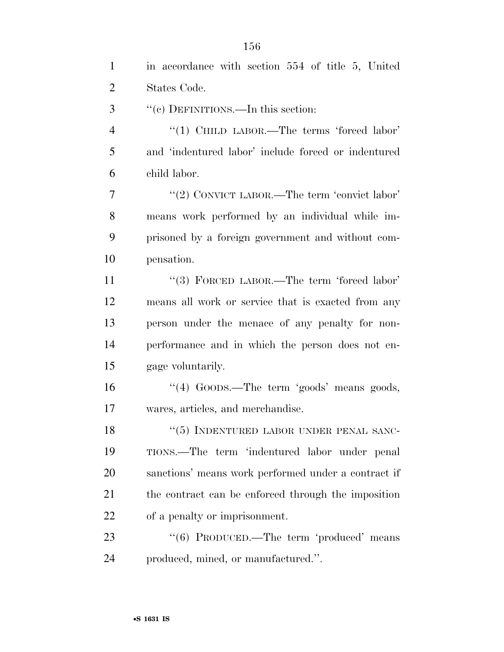| $\mathbf{1}$   | in accordance with section 554 of title 5, United   |
|----------------|-----------------------------------------------------|
| $\overline{2}$ | States Code.                                        |
| 3              | "(c) DEFINITIONS.—In this section:                  |
| $\overline{4}$ | "(1) CHILD LABOR.—The terms 'forced labor'          |
| 5              | and 'indentured labor' include forced or indentured |
| 6              | child labor.                                        |
| 7              | "(2) CONVICT LABOR.—The term 'convict labor'        |
| 8              | means work performed by an individual while im-     |
| 9              | prisoned by a foreign government and without com-   |
| 10             | pensation.                                          |
| 11             | "(3) FORCED LABOR.—The term 'forced labor'          |
| 12             | means all work or service that is exacted from any  |
| 13             | person under the menace of any penalty for non-     |
| 14             | performance and in which the person does not en-    |
| 15             | gage voluntarily.                                   |
| 16             | "(4) GOODS.—The term 'goods' means goods,           |
| 17             | wares, articles, and merchandise.                   |
| 18             | "(5) INDENTURED LABOR UNDER PENAL SANC-             |
| 19             | TIONS.—The term 'indentured labor under penal       |
| 20             | sanctions' means work performed under a contract if |
| 21             | the contract can be enforced through the imposition |
| 22             | of a penalty or imprisonment.                       |
| 23             | "(6) PRODUCED.—The term 'produced' means            |
| 24             | produced, mined, or manufactured.".                 |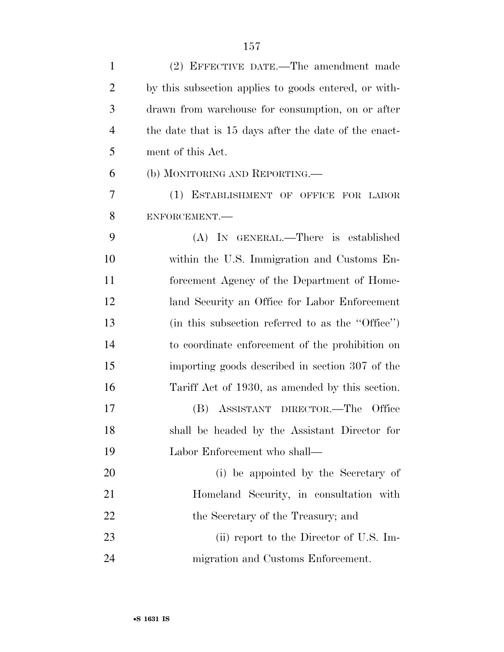| $\mathbf{1}$   | (2) EFFECTIVE DATE.—The amendment made                |
|----------------|-------------------------------------------------------|
| $\overline{2}$ | by this subsection applies to goods entered, or with- |
| 3              | drawn from warehouse for consumption, on or after     |
| $\overline{4}$ | the date that is 15 days after the date of the enact- |
| 5              | ment of this Act.                                     |
| 6              | (b) MONITORING AND REPORTING.—                        |
| 7              | (1) ESTABLISHMENT OF OFFICE FOR LABOR                 |
| 8              | ENFORCEMENT.                                          |
| 9              | (A) IN GENERAL.—There is established                  |
| 10             | within the U.S. Immigration and Customs En-           |
| 11             | forcement Agency of the Department of Home-           |
| 12             | land Security an Office for Labor Enforcement         |
| 13             | (in this subsection referred to as the "Office")      |
| 14             | to coordinate enforcement of the prohibition on       |
| 15             | importing goods described in section 307 of the       |
| 16             | Tariff Act of 1930, as amended by this section.       |
| 17             | (B) ASSISTANT DIRECTOR.—The Office                    |
| 18             | shall be headed by the Assistant Director for         |
| 19             | Labor Enforcement who shall—                          |
| 20             | (i) be appointed by the Secretary of                  |
| 21             | Homeland Security, in consultation with               |
| 22             | the Secretary of the Treasury; and                    |
| 23             | (ii) report to the Director of U.S. Im-               |
| 24             | migration and Customs Enforcement.                    |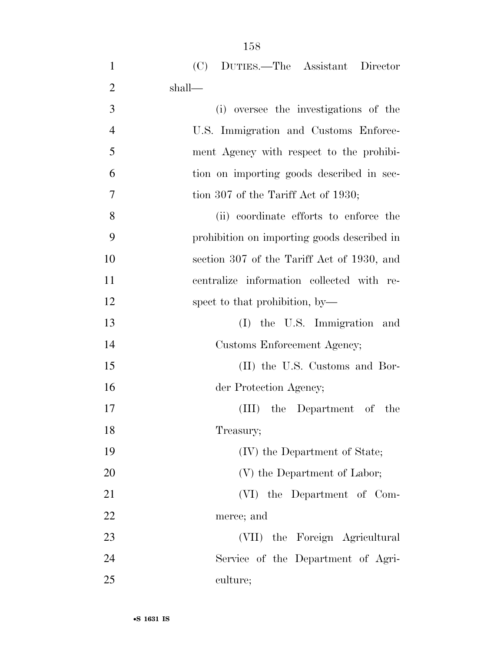| $\mathbf{1}$   | (C)<br>DUTIES.—The Assistant Director       |
|----------------|---------------------------------------------|
| $\overline{2}$ | shall—                                      |
| $\overline{3}$ | (i) oversee the investigations of the       |
| $\overline{4}$ | U.S. Immigration and Customs Enforce-       |
| 5              | ment Agency with respect to the prohibi-    |
| 6              | tion on importing goods described in sec-   |
| 7              | tion 307 of the Tariff Act of 1930;         |
| 8              | (ii) coordinate efforts to enforce the      |
| 9              | prohibition on importing goods described in |
| 10             | section 307 of the Tariff Act of 1930, and  |
| 11             | centralize information collected with re-   |
| 12             | spect to that prohibition, by—              |
| 13             | (I) the U.S. Immigration and                |
| 14             | Customs Enforcement Agency;                 |
| 15             | (II) the U.S. Customs and Bor-              |
| 16             | der Protection Agency;                      |
| 17             | (III) the Department of the                 |
| 18             | Treasury;                                   |
| 19             | (IV) the Department of State;               |
| 20             | (V) the Department of Labor;                |
| 21             | (VI) the Department of Com-                 |
| 22             | merce; and                                  |
| 23             | (VII) the Foreign Agricultural              |
| 24             | Service of the Department of Agri-          |
| 25             | culture;                                    |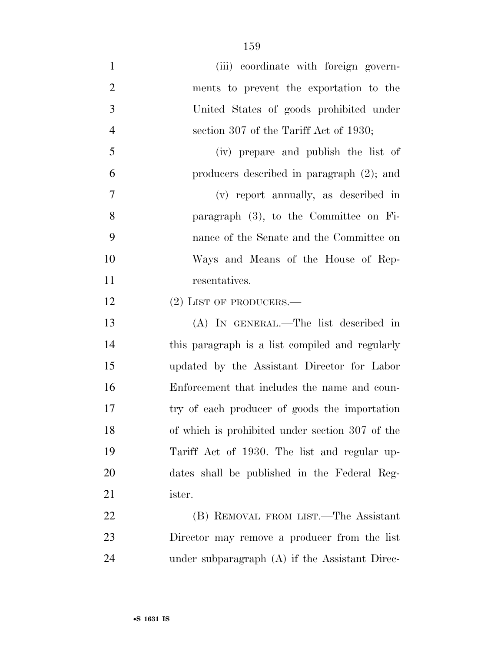| $\mathbf{1}$   | (iii) coordinate with foreign govern-           |
|----------------|-------------------------------------------------|
| $\overline{2}$ | ments to prevent the exportation to the         |
| 3              | United States of goods prohibited under         |
| $\overline{4}$ | section 307 of the Tariff Act of 1930;          |
| 5              | (iv) prepare and publish the list of            |
| 6              | producers described in paragraph $(2)$ ; and    |
| $\overline{7}$ | (v) report annually, as described in            |
| 8              | paragraph $(3)$ , to the Committee on Fi-       |
| 9              | nance of the Senate and the Committee on        |
| 10             | Ways and Means of the House of Rep-             |
| 11             | resentatives.                                   |
| 12             | $(2)$ LIST OF PRODUCERS.—                       |
| 13             | (A) IN GENERAL.—The list described in           |
| 14             | this paragraph is a list compiled and regularly |
| 15             | updated by the Assistant Director for Labor     |
| 16             | Enforcement that includes the name and coun-    |
| 17             | try of each producer of goods the importation   |
| 18             | of which is prohibited under section 307 of the |
| 19             | Tariff Act of 1930. The list and regular up-    |
| 20             | dates shall be published in the Federal Reg-    |
| 21             | ister.                                          |
| 22             | (B) REMOVAL FROM LIST.—The Assistant            |
| 23             | Director may remove a producer from the list    |
| 24             | under subparagraph (A) if the Assistant Direc-  |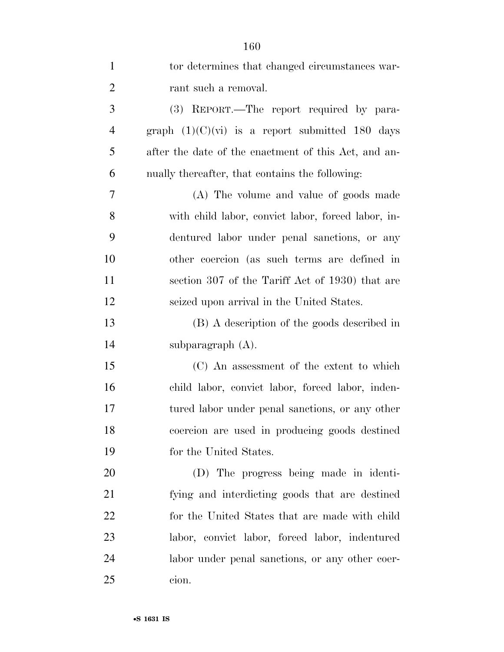| $\mathbf{1}$   | tor determines that changed circumstances war-       |
|----------------|------------------------------------------------------|
| $\overline{2}$ | rant such a removal.                                 |
| 3              | (3) REPORT.—The report required by para-             |
| $\overline{4}$ | graph $(1)(C)(vi)$ is a report submitted 180 days    |
| 5              | after the date of the enactment of this Act, and an- |
| 6              | nually thereafter, that contains the following:      |
| 7              | (A) The volume and value of goods made               |
| 8              | with child labor, convict labor, forced labor, in-   |
| 9              | dentured labor under penal sanctions, or any         |
| 10             | other coercion (as such terms are defined in         |
| 11             | section 307 of the Tariff Act of 1930) that are      |
| 12             | seized upon arrival in the United States.            |
| 13             | (B) A description of the goods described in          |
| 14             | subparagraph $(A)$ .                                 |
| 15             | (C) An assessment of the extent to which             |
| 16             | child labor, convict labor, forced labor, inden-     |
| 17             | tured labor under penal sanctions, or any other      |
| 18             | coercion are used in producing goods destined        |
| 19             | for the United States.                               |
| 20             | (D) The progress being made in identi-               |
| 21             | fying and interdicting goods that are destined       |
| 22             | for the United States that are made with child       |
| 23             | labor, convict labor, forced labor, indentured       |
| 24             | labor under penal sanctions, or any other coer-      |
| 25             | cion.                                                |